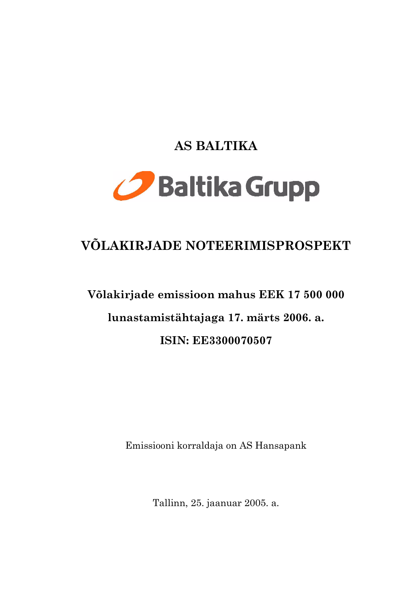# AS BALTIKA



# VÕLAKIRJADE NOTEERIMISPROSPEKT

# Võlakirjade emissioon mahus EEK 17 500 000 lunastamistähtajaga 17. märts 2006. a. **ISIN: EE3300070507**

Emissiooni korraldaja on AS Hansapank

Tallinn, 25. jaanuar 2005. a.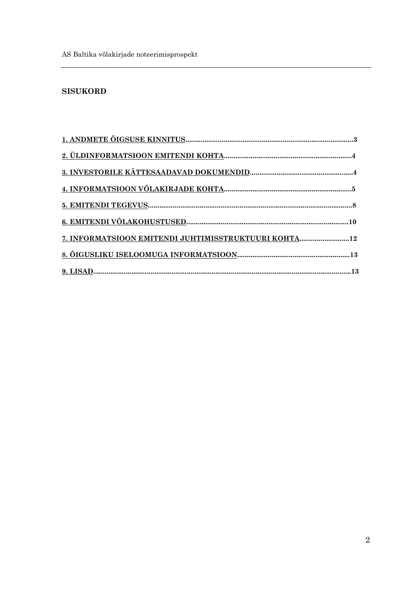# **SISUKORD**

| 7. INFORMATSIOON EMITENDI JUHTIMISSTRUKTUURI KOHTA12 |  |
|------------------------------------------------------|--|
|                                                      |  |
|                                                      |  |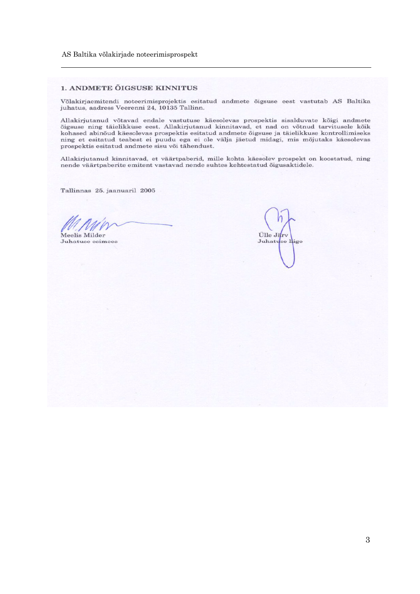#### AS Baltika võlakirjade noteerimisprospekt

#### 1. ANDMETE ÕIGSUSE KINNITUS

Võlakirjaemitendi noteerimisprojektis esitatud andmete õigsuse eest vastutab AS Baltika juhatus, aadress Veerenni 24, 10135 Tallinn.

Allakirjutanud võtavad endale vastutuse käesolevas prospektis sisalduvate kõigi andmete õigsuse ning täielikkuse eest. Allakirjutanud kinnitavad, et nad on võtnud tarvitusele kõik kohased abinõud käesolevas prospektis esitatud andmete õigsuse ja täielikkuse kontrollimiseks ning et esitatud teabest ei puudu ega ei ole välja jäetud midagi, mis mõjutaks käesolevas prospektis esitatud andmete sisu või tähendust.

Allakirjutanud kinnitavad, et väärtpaberid, mille kohta käesolev prospekt on koostatud, ning nende väärtpaberite emitent vastavad nende suhtes kehtestatud õigusaktidele.

Tallinnas 25. jaanuaril 2005

Meelis Milder

Juhatuse esimees

Ülle Järv Juhatuse lige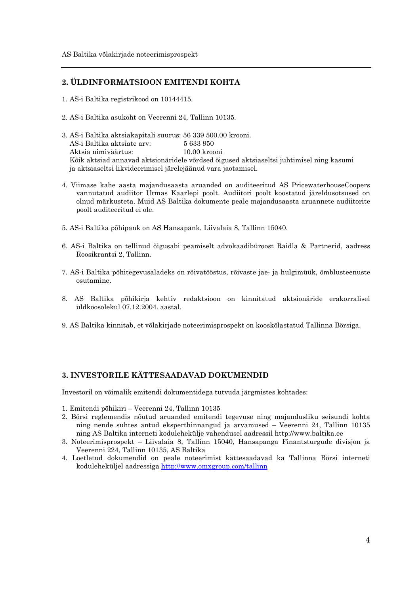# 2. ÜLDINFORMATSIOON EMITENDI KOHTA

- 1. AS-i Baltika registrikood on 10144415.
- 2. AS-i Baltika asukoht on Veerenni 24, Tallinn 10135.
- 3. AS-i Baltika aktsiakapitali suurus: 56 339 500.00 krooni. AS-i Baltika aktsiate arv: 5633950 Aktsia nimiväärtus: 10.00 krooni Kõik aktsiad annavad aktsionäridele võrdsed õigused aktsiaseltsi juhtimisel ning kasumi ja aktsiaseltsi likvideerimisel järelejäänud vara jaotamisel.
- 4. Viimase kahe aasta majandusaasta aruanded on auditeeritud AS PricewaterhouseCoopers vannutatud audiitor Urmas Kaarlepi poolt. Audiitori poolt koostatud järeldusotsused on olnud märkusteta. Muid AS Baltika dokumente peale majandusaasta aruannete audiitorite poolt auditeeritud ei ole.
- 5. AS-i Baltika põhipank on AS Hansapank, Liivalaia 8, Tallinn 15040.
- 6. AS-i Baltika on tellinud õigusabi peamiselt advokaadibüroost Raidla & Partnerid, aadress Roosikrantsi 2, Tallinn.
- 7. AS-i Baltika põhitegevusaladeks on rõivatööstus, rõivaste jae- ja hulgimüük, õmblusteenuste osutamine.
- 8. AS Baltika põhikirja kehtiv redaktsioon on kinnitatud aktsionäride erakorralisel üldkoosolekul 07.12.2004. aastal.
- 9. AS Baltika kinnitab, et võlakirjade noteerimisprospekt on kooskõlastatud Tallinna Börsiga.

# 3. INVESTORILE KÄTTESAADAVAD DOKUMENDID

Investoril on võimalik emitendi dokumentidega tutvuda järgmistes kohtades:

- 1. Emitendi põhikiri Veerenni 24, Tallinn 10135
- 2. Börsi reglemendis nõutud aruanded emitendi tegevuse ning majandusliku seisundi kohta ning nende suhtes antud eksperthinnangud ja arvamused – Veerenni 24, Tallinn 10135 ning AS Baltika interneti kodulehekülje vahendusel aadressil http://www.baltika.ee
- 3. Noteerimisprospekt Liivalaia 8, Tallinn 15040, Hansapanga Finantsturgude divisjon ja Veerenni 224, Tallinn 10135, AS Baltika
- 4. Loetletud dokumendid on peale noteerimist kättesaadavad ka Tallinna Börsi interneti koduleheküljel aadressiga http://www.omxgroup.com/tallinn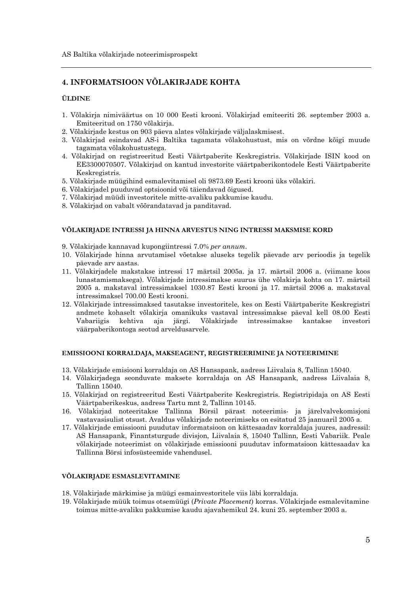# **4. INFORMATSIOON VÕLAKIRJADE KOHTA**

#### **ÜLDINE**

- 1. Võlakirja nimiväärtus on 10 000 Eesti krooni. Võlakirjad emiteeriti 26. september 2003 a. Emiteeritud on 1750 võlakirja.
- 2. Võlakirjade kestus on 903 päeva alates võlakirjade väljalaskmisest.
- 3. Võlakirjad esindavad AS-i Baltika tagamata võlakohustust, mis on võrdne kõigi muude tagamata võlakohustustega.
- 4. Võlakirjad on registreeritud Eesti Väärtpaberite Keskregistris. Võlakirjade ISIN kood on EE3300070507. Võlakirjad on kantud investorite väärtpaberikontodele Eesti Väärtpaberite Keskregistris.
- 5. Võlakirjade müügihind esmalevitamisel oli 9873.69 Eesti krooni üks võlakiri.
- 6. Võlakirjadel puuduvad optsioonid või täiendavad õigused.
- 7. Võlakirjad müüdi investoritele mitte-avaliku pakkumise kaudu.
- 8. Võlakirjad on vabalt võõrandatavad ja panditavad.

#### VÕLAKIRJADE INTRESSI JA HINNA ARVESTUS NING INTRESSI MAKSMISE KORD

9. Võlakirjade kannavad kupongiintressi 7.0% per annum.

- 10. Võlakirjade hinna arvutamisel võetakse aluseks tegelik päevade arv perioodis ja tegelik päevade arv aastas.
- 11. Võlakirjadele makstakse intressi 17 märtsil 2005a. ja 17. märtsil 2006 a. (viimane koos lunastamismaksega). Võlakirjade intressimakse suurus ühe võlakirja kohta on 17. märtsil 2005 a. makstaval intressimaksel 1030.87 Eesti krooni ja 17. märtsil 2006 a. makstaval intressimaksel 700.00 Eesti krooni.
- 12. Võlakirjade intressimaksed tasutakse investoritele, kes on Eesti Väärtpaberite Keskregistri andmete kohaselt võlakirja omanikuks vastaval intressimakse päeval kell 08.00 Eesti kantakse Vabariigis kehtiva aia järgi. Võlakirjade intressimakse investori väärpaberikontoga seotud arveldusarvele.

#### EMISSIOONI KORRALDAJA, MAKSEAGENT, REGISTREERIMINE JA NOTEERIMINE

- 13. Võlakirjade emisiooni korraldaja on AS Hansapank, aadress Liivalaia 8, Tallinn 15040.
- 14. Võlakirjadega seonduvate maksete korraldaja on AS Hansapank, aadress Liivalaia 8, Tallinn 15040.
- 15. Võlakirjad on registreeritud Eesti Väärtpaberite Keskregistris. Registripidaja on AS Eesti Väärtpaberikeskus, aadress Tartu mnt 2, Tallinn 10145.
- 16. Võlakirjad noteeritakse Tallinna Börsil pärast noteerimis- ja järelvalvekomisjoni vastavasisulist otsust. Avaldus võlakirjade noteerimiseks on esitatud 25 jaanuaril 2005 a.
- 17. Võlakirjade emissiooni puudutav informatsioon on kättesaadav korraldaja juures, aadressil: AS Hansapank, Finantsturgude divisjon, Liivalaia 8, 15040 Tallinn, Eesti Vabariik. Peale võlakirjade noteerimist on võlakirjade emissiooni puudutav informatsioon kättesaadav ka Tallinna Börsi infosüsteemide vahendusel.

#### VÕLAKIRJADE ESMASLEVITAMINE

- 18. Võlakirjade märkimise ja müügi esmainvestoritele viis läbi korraldaja.
- 19. Võlakirjade müük toimus otsemüügi (Private Placement) korras. Võlakirjade esmalevitamine toimus mitte-avaliku pakkumise kaudu ajavahemikul 24. kuni 25. september 2003 a.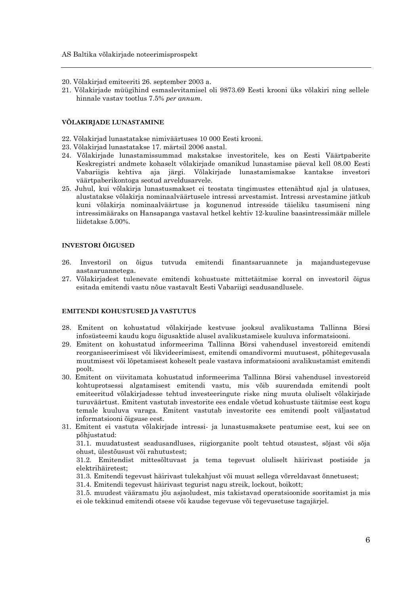- 20. Võlakirjad emiteeriti 26. september 2003 a.
- 21. Võlakirjade müügihind esmaslevitamisel oli 9873.69 Eesti krooni üks võlakiri ning sellele hinnale vastav tootlus 7.5% per annum.

#### VÕLAKIRJADE LUNASTAMINE

- 22. Võlakirjad lunastatakse nimiväärtuses 10 000 Eesti krooni.
- 23. Võlakirjad lunastatakse 17. märtsil 2006 aastal.
- 24. Võlakirjade lunastamissummad makstakse investoritele, kes on Eesti Väärtpaberite Keskregistri andmete kohaselt võlakirjade omanikud lunastamise päeval kell 08.00 Eesti Vabariigis kehtiva aja järgi. Võlakirjade lunastamismakse kantakse investori väärtpaberikontoga seotud arveldusarvele.
- 25. Juhul, kui võlakirja lunastusmakset ei teostata tingimustes ettenähtud ajal ja ulatuses, alustatakse võlakirja nominaalväärtusele intressi arvestamist. Intressi arvestamine jätkub kuni võlakirja nominaalväärtuse ja kogunenud intresside täieliku tasumiseni ning intressimääraks on Hansapanga vastaval hetkel kehtiv 12-kuuline baasintressimäär millele liidetakse 5.00%.

#### **INVESTORI ÕIGUSED**

- $96<sup>°</sup>$ Investoril on õigus tutvuda emitendi finantsaruannete ja majandustegevuse aastaaruannetega.
- 27. Võlakirjadest tulenevate emitendi kohustuste mittetäitmise korral on investoril õigus esitada emitendi vastu nõue vastavalt Eesti Vabariigi seadusandlusele.

#### **EMITENDI KOHUSTUSED JA VASTUTUS**

- 28. Emitent on kohustatud võlakirjade kestvuse jooksul avalikustama Tallinna Börsi infosüsteemi kaudu kogu õigusaktide alusel avalikustamisele kuuluva informatsiooni.
- 29. Emitent on kohustatud informeerima Tallinna Börsi vahendusel investoreid emitendi reorganiseerimisest või likvideerimisest, emitendi omandivormi muutusest, põhitegevusala muutmisest või lõpetamisest koheselt peale vastava informatsiooni avalikustamist emitendi poolt.
- 30. Emitent on viivitamata kohustatud informeerima Tallinna Börsi vahendusel investoreid kohtuprotsessi algatamisest emitendi vastu, mis võib suurendada emitendi poolt emiteeritud võlakirjadesse tehtud investeeringute riske ning muuta oluliselt võlakirjade turuväärtust. Emitent vastutab investorite ees endale võetud kohustuste täitmise eest kogu temale kuuluva varaga. Emitent vastutab investorite ees emitendi poolt väljastatud informatsiooni õigsuse eest.
- 31. Emitent ei vastuta võlakirjade intressi- ja lunastusmaksete peatumise eest, kui see on põhjustatud:

31.1. muudatustest seadusandluses, riigiorganite poolt tehtud otsustest, sõjast või sõja ohust, ülestõusust või rahutustest;

31.2. Emitendist mittesõltuvast ja tema tegevust oluliselt häirivast postiside ja elektrihäiretest:

31.3. Emitendi tegevust häirivast tulekahjust või muust sellega võrreldavast õnnetusest;

31.4. Emitendi tegevust häirivast tegurist nagu streik, lockout, boikott;

31.5. muudest vääramatu jõu asjaoludest, mis takistavad operatsioonide sooritamist ja mis ei ole tekkinud emitendi otsese või kaudse tegevuse või tegevusetuse tagajärjel.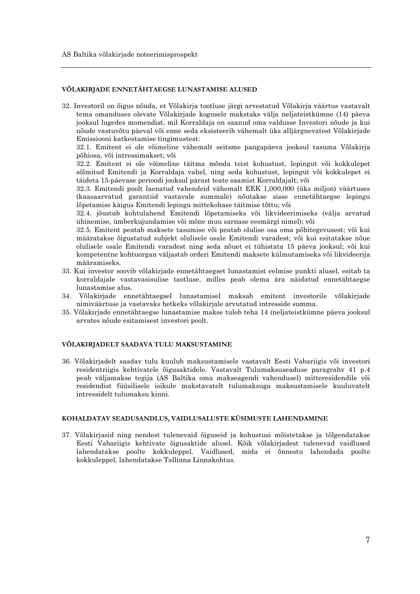#### VÕLAKIRJADE ENNETÄHTAEGSE LUNASTAMISE ALUSED

32. Investoril on õigus nõuda, et Võlakirja tootluse järgi arvestatud Võlakirja väärtus vastavalt tema omanduses olevate Võlakirjade kogusele makstaks välja neljateistkümne (14) päeva jooksul lugedes momendist, mil Korraldaja on saanud oma valdusse Investori nõude ja kui nõude vastuvõtu päeval või enne seda eksisteerib vähemalt üks alljärgnevatest Võlakirjade Emissiooni katkestamise tingimustest:

32.1. Emitent ei ole võimeline vähemalt seitsme pangapäeva jooksul tasuma Võlakirja põhiosa, või intressimakset; või

32.2. Emitent ei ole võimeline täitma mõnda teist kohustust, lepingut või kokkulepet sõlmitud Emitendi ja Korraldaja vahel, ning seda kohustust, lepingut või kokkulepet ei täideta 15-päevase perioodi jooksul pärast teate saamist Korraldajalt; või

32.3. Emitendi poolt laenatud vahendeid vähemalt EEK 1,000,000 (üks miljon) väärtuses (kaasaarvatud garantiid vastavale summale) nõutakse sisse ennetähtaegse lepingu lõpetamise käigus Emitendi lepingu mittekohase täitmise tõttu; või

32.4. jõustub kohtulahend Emitendi lõpetamiseks või likvideerimiseks (välja arvatud ühinemise, ümberkujundamise või mõne muu sarnase eesmärgi nimel): või

32.5. Emitent peatab maksete tasumise või peatab olulise osa oma põhitegevusest; või kui määratakse õigustatud subjekt olulisele osale Emitendi varadest; või kui esitatakse nõue olulisele osale Emitendi varadest ning seda nõuet ei tühistata 15 päeva jooksul; või kui kompetentne kohtuorgan väljastab orderi Emitendi maksete külmutamiseks või likvideerija määramiseks.

- 33. Kui investor soovib võlakirjade ennetähtaegset lunastamist eelmise punkti alusel, esitab ta korraldajale vastavasisulise taotluse, milles peab olema ära näidatud ennetähtaegse lunastamise alus.
- 34. Võlakirjade ennetähtaegsel lunastamisel maksab emitent investorile võlakirjade nimiväärtuse ja vastavaks hetkeks võlakirjale arvutatud intresside summa.
- 35. Võlakirjade ennetähtaegse lunastamise makse tuleb teha 14 (neljateistkümne päeva jooksul arvates nõude esitamisest investori poolt.

#### VÕLAKIRJADELT SAADAVA TULU MAKSUSTAMINE

36. Võlakirjadelt saadav tulu kuulub maksustamisele vastavalt Eesti Vabariigis või investori residentriigis kehtivatele õigusaktidele. Vastavalt Tulumaksuseaduse paragrahv 41 p.4 peab väljamakse tegija (AS Baltika oma makseagendi vahendusel) mitteresidendile või residendist füüsilisele isikule makstavatelt tulumaksuga maksustamisele kuuluvatelt intressidelt tulumaksu kinni.

#### KOHALDATAV SEADUSANDLUS, VAIDLUSALUSTE KÜSIMUSTE LAHENDAMINE

37. Võlakirjasid ning nendest tulenevaid õiguseid ja kohustusi mõistetakse ja tõlgendatakse Eesti Vabariigis kehtivate õigusaktide alusel. Kõik võlakirjadest tulenevad vaidlused lahendatakse poolte kokkuleppel. Vaidlused, mida ei õnnestu lahendada poolte kokkuleppel, lahendatakse Tallinna Linnakohtus.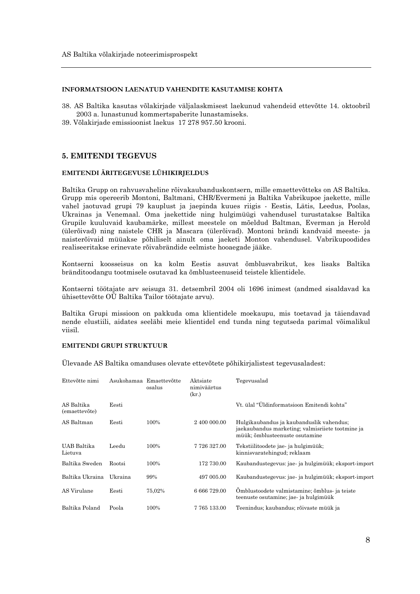#### INFORMATSIOON LAENATUD VAHENDITE KASUTAMISE KOHTA

- 38. AS Baltika kasutas võlakirjade väljalaskmisest laekunud vahendeid ettevõtte 14. oktoobril 2003 a. lunastunud kommertspaberite lunastamiseks.
- 39. Võlakirjade emissioonist laekus 17 278 957.50 krooni.

#### **5. EMITENDI TEGEVUS**

#### EMITENDI ÄRITEGEVUSE LÜHIKIRJELDUS

Baltika Grupp on rahvusvaheline rõivakaubanduskontsern, mille emaettevõtteks on AS Baltika. Grupp mis opereerib Montoni, Baltmani, CHR/Evermeni ja Baltika Vabrikupoe jaekette, mille vahel jaotuvad grupi 79 kauplust ja jaepinda kuues riigis - Eestis, Lätis, Leedus, Poolas, Ukrainas ja Venemaal. Oma jaekettide ning hulgimüügi vahendusel turustatakse Baltika Grupile kuuluvaid kaubamärke, millest meestele on mõeldud Baltman, Everman ja Herold (ülerõivad) ning naistele CHR ja Mascara (ülerõivad). Montoni brändi kandvaid meeste- ja naisterõivaid müüakse põhiliselt ainult oma jaeketi Monton vahendusel. Vabrikupoodides realiseeritakse erinevate rõivabrändide eelmiste hooaegade jääke.

Kontserni koosseisus on ka kolm Eestis asuvat õmblusvabrikut, kes lisaks Baltika bränditoodangu tootmisele osutavad ka õmblusteenuseid teistele klientidele.

Kontserni töötajate arv seisuga 31. detsembril 2004 oli 1696 inimest (andmed sisaldavad ka ühisettevõtte OÜ Baltika Tailor töötajate arvu).

Baltika Grupi missioon on pakkuda oma klientidele moekaupu, mis toetavad ja täiendavad nende elustiili, aidates seeläbi meie klientidel end tunda ning tegutseda parimal võimalikul viisil.

## **EMITENDI GRUPI STRUKTUUR**

Ülevaade AS Baltika omanduses olevate ettevõtete põhikirjalistest tegevusaladest:

| Ettevõtte nimi              |         | Asukohamaa Emaettevõtte<br>osalus | Aktsiate<br>nimiväärtus<br>(kr.) | Tegevusalad                                                                                                                    |
|-----------------------------|---------|-----------------------------------|----------------------------------|--------------------------------------------------------------------------------------------------------------------------------|
| AS Baltika<br>(emaettevõte) | Eesti   |                                   |                                  | Vt. ülal "Üldinformatsioon Emitendi kohta"                                                                                     |
| AS Baltman                  | Eesti   | 100%                              | 2 400 000.00                     | Hulgikaubandus ja kaubanduslik vahendus;<br>jaekaubandus marketing; valmisrijete tootmine ja<br>müük; õmblusteenuste osutamine |
| UAB Baltika<br>Lietuva      | Leedu   | 100%                              | 7 726 327.00                     | Tekstiilitoodete jae- ja hulgimüük;<br>kinnisvaratehingud; reklaam                                                             |
| Baltika Sweden              | Rootsi  | 100%                              | 172 730.00                       | Kaubandustegevus: jae- ja hulgimüük; eksport-import                                                                            |
| Baltika Ukraina             | Ukraina | 99%                               | 497 005.00                       | Kaubandustegevus: jae- ja hulgimüük; eksport-import                                                                            |
| AS Virulane                 | Eesti   | 75,02%                            | 6 666 729.00                     | Omblustoodete valmistamine; õmblus- ja teiste<br>teenuste osutamine; jae- ja hulgimüük                                         |
| Baltika Poland              | Poola   | 100%                              | 7765133.00                       | Teenindus; kaubandus; rõivaste müük ja                                                                                         |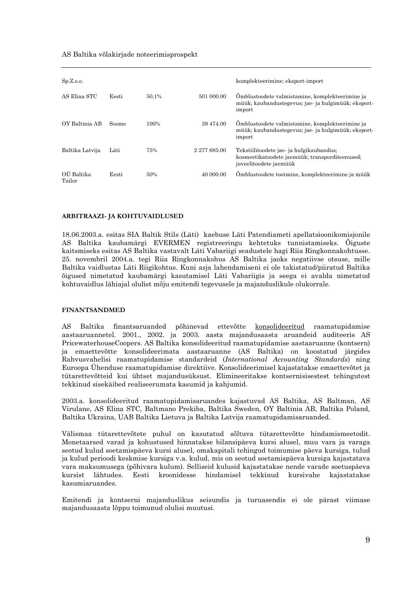#### AS Baltika võlakirjade noteerimisprospekt

| Sp.Z.o.o.            |       |       |              | komplekteerimine; eksport-import                                                                                     |
|----------------------|-------|-------|--------------|----------------------------------------------------------------------------------------------------------------------|
| AS Elina STC         | Eesti | 50,1% | 501 000.00   | Omblustoodete valmistamine, komplekteerimine ja<br>müük; kaubandustegevus; jae- ja hulgimüük; eksport-<br>import     |
| OY Baltinia AB       | Soome | 100%  | 39 474.00    | Omblustoodete valmistamine, komplekteerimine ja<br>müük; kaubandustegevus; jae- ja hulgimüük; eksport-<br>import     |
| Baltika Latvija      | Läti  | 75%   | 2 277 685.00 | Tekstiilitoodete jae- ja hulgikaubandus;<br>kosmeetikatoodete jaemüük; transporditeenused;<br>juveelitoodete jaemüük |
| OU Baltika<br>Tailor | Eesti | 50%   | 40 000.00    | Ömblustoodete tootmine, komplekteerimine ja müük                                                                     |

#### ARBITRAAZI- JA KOHTUVAIDLUSED

18.06.2003.a. esitas SIA Baltik Stils (Läti) kaebuse Läti Patendiameti apellatsioonikomisjonile AS Baltika kaubamärgi EVERMEN registreeringu kehtetuks tunnistamiseks. Õiguste kaitsmiseks esitas AS Baltika vastavalt Läti Vabariigi seadustele hagi Riia Ringkonnakohtusse. 25. novembril 2004.a. tegi Riia Ringkonnakohus AS Baltika jaoks negatiivse otsuse, mille Baltika vaidlustas Läti Riigikohtus. Kuni asja lahendamiseni ei ole takistatud/piiratud Baltika õigused nimetatud kaubamärgi kasutamisel Läti Vabariigis ja seega ei avalda nimetatud kohtuvaidlus lähiajal olulist mõju emitendi tegevusele ja majanduslikule olukorrale.

#### **FINANTSANDMED**

 $AS$ Baltika finantsaruanded põhinevad ettevõtte konsolideeritud raamatupidamise aastaaruannetel. 2001., 2002. ja 2003. aasta majandusaasta aruandeid auditeeris AS PricewaterhouseCoopers. AS Baltika konsolideeritud raamatupidamise aastaaruanne (kontsern) ja emaettevõtte konsolideerimata aastaaruanne (AS Baltika) on koostatud järgides Rahvusvahelisi raamatupidamise standardeid (International Accounting Standards) ning Euroopa Ühenduse raamatupidamise direktiive. Konsolideerimisel kajastatakse emaettevõtet ja tütarettevõtteid kui ühtset majandusüksust. Elimineeritakse kontsernisisestest tehingutest tekkinud sisekäibed realiseerumata kasumid ja kahjumid.

2003.a. konsolideeritud raamatupidamisaruandes kajastuvad AS Baltika, AS Baltman, AS Virulane, AS Elina STC, Baltmano Prekiba, Baltika Sweden, OY Baltinia AB, Baltika Poland, Baltika Ukraina, UAB Baltika Lietuva ja Baltika Latvija raamatupidamisaruanded.

Välismaa tütarettevõtete puhul on kasutatud sõltuva tütarettevõtte hindamismeetodit. Monetaarsed varad ja kohustused hinnatakse bilansipäeva kursi alusel, muu vara ja varaga seotud kulud soetamispäeva kursi alusel, omakapitali tehingud toimumise päeva kursiga, tulud ja kulud perioodi keskmise kursiga v.a. kulud, mis on seotud soetamispäeva kursiga kajastatava vara maksumusega (põhivara kulum). Selliseid kulusid kajastatakse nende varade soetuspäeva kursist lähtudes. Eesti kroonidesse hindamisel tekkinud kursivahe kajastatakse kasumiaruandes.

Emitendi ja kontserni majanduslikus seisundis ja turuasendis ei ole pärast viimase majandusaasta lõppu toimunud olulisi muutusi.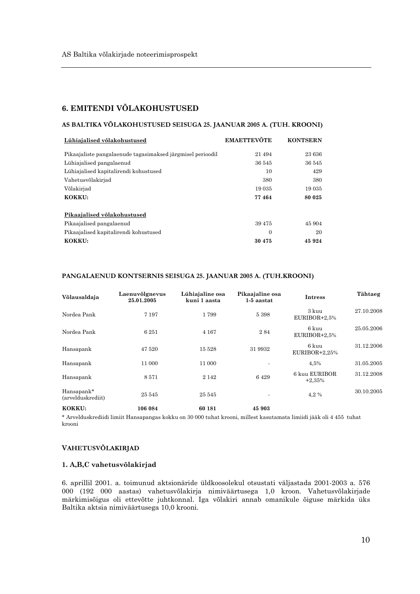## **6. EMITENDI VÕLAKOHUSTUSED**

#### AS BALTIKA VÕLAKOHUSTUSED SEISUGA 25. JAANUAR 2005 A. (TUH. KROONI)

| Lühiajalised võlakohustused                                | <b>EMAETTEVÖTE</b> | <b>KONTSERN</b> |
|------------------------------------------------------------|--------------------|-----------------|
| Pikaajaliste pangalaenude tagasimaksed järgmisel perioodil | 21 4 9 4           | 23 636          |
| Lühiajalised pangalaenud                                   | 36 545             | 36 545          |
| Lühiajalised kapitalirendi kohustused                      | 10                 | 429             |
| Vahetusvõlakirjad                                          | 380                | 380             |
| Võlakirjad                                                 | 19 0 35            | 19 0 35         |
| KOKKU:                                                     | 77464              | 80 025          |
|                                                            |                    |                 |
| Pikaajalised võlakohustused                                |                    |                 |
| Pikaajalised pangalaenud                                   | 39 4 7 5           | 45 904          |
| Pikaajalised kapitalirendi kohustused                      | $\Omega$           | 20              |
| KOKKU:                                                     | 30 4 75            | 45 924          |

#### PANGALAENUD KONTSERNIS SEISUGA 25. JAANUAR 2005 A. (TUH.KROONI)

| Võlausaldaja                    | Laenuvõlgnevus<br>25.01.2005 | Lühiajaline osa<br>kuni 1 aasta | Pikaajaline osa<br>1-5 aastat | <b>Intress</b>            | Tähtaeg    |
|---------------------------------|------------------------------|---------------------------------|-------------------------------|---------------------------|------------|
| Nordea Pank                     | 7 1 9 7                      | 1799                            | 5 3 9 8                       | 3 kuu<br>EURIBOR+2,5%     | 27.10.2008 |
| Nordea Pank                     | 6251                         | 4 1 6 7                         | 284                           | 6 kuu<br>EURIBOR+2,5%     | 25.05.2006 |
| Hansapank                       | 47 520                       | 15 5 28                         | 31 9932                       | 6 kuu<br>$EURIBOR+2,25%$  | 31.12.2006 |
| Hansapank                       | 11 000                       | 11 000                          |                               | 4,5%                      | 31.05.2005 |
| Hansapank                       | 8571                         | 2 1 4 2                         | 6429                          | 6 kuu EURIBOR<br>$+2,35%$ | 31.12.2008 |
| Hansapank*<br>(arvelduskrediit) | 25 545                       | 25 545                          |                               | 4.2%                      | 30.10.2005 |
| KOKKU:                          | 106 084                      | 60 181                          | 45 903                        |                           |            |

\* Arvelduskrediidi limiit Hansapangas kokku on 30 000 tuhat krooni, millest kasutamata limiidi jääk oli 4 455 tuhat krooni

#### VAHETUSVÕLAKIRJAD

#### 1. A,B,C vahetusvõlakirjad

6. aprillil 2001. a. toimunud aktsionäride üldkoosolekul otsustati väljastada 2001-2003 a. 576 000 (192 000 aastas) vahetusvõlakirja nimiväärtusega 1,0 kroon. Vahetusvõlakirjade märkimisõigus oli ettevõtte juhtkonnal. Iga võlakiri annab omanikule õiguse märkida üks Baltika aktsia nimiväärtusega 10,0 krooni.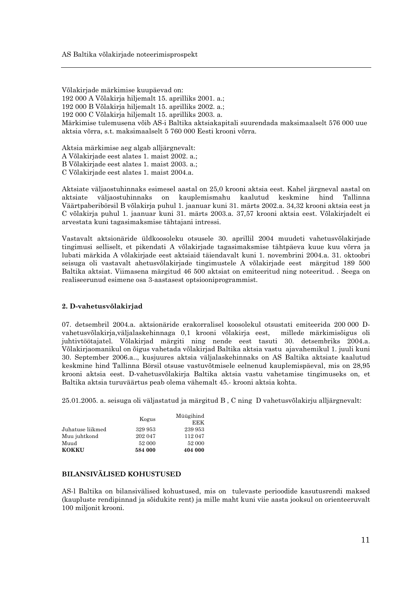Võlakirjade märkimise kuupäevad on: 192 000 A Võlakirja hiljemalt 15. aprilliks 2001. a.: 192 000 B Võlakirja hiljemalt 15. aprilliks 2002. a.; 192 000 C Võlakirja hiljemalt 15. aprilliks 2003. a. Märkimise tulemusena võib AS-i Baltika aktsiakapitali suurendada maksimaalselt 576 000 uue aktsia võrra, s.t. maksimaalselt 5 760 000 Eesti krooni võrra.

Aktsia märkimise aeg algab alljärgnevalt: A Võlakirjade eest alates 1. maist 2002. a.; B Võlakirjade eest alates 1. maist 2003. a.;

C Võlakirjade eest alates 1. maist 2004.a.

Aktsiate väljaostuhinnaks esimesel aastal on 25,0 krooni aktsia eest. Kahel järgneval aastal on aktsiate väljaostuhinnaks on kauplemismahu kaalutud keskmine hind Tallinna Väärtpaberibörsil B võlakirja puhul 1. jaanuar kuni 31. märts 2002.a. 34,32 krooni aktsia eest ja C võlakirja puhul 1. jaanuar kuni 31. märts 2003.a. 37,57 krooni aktsia eest. Võlakirjadelt ei arvestata kuni tagasimaksmise tähtajani intressi.

Vastavalt aktsionäride üldkoosoleku otsusele 30. aprillil 2004 muudeti vahetusvõlakirjade tingimusi selliselt, et pikendati A võlakirjade tagasimaksmise tähtpäeva kuue kuu võrra ja lubati märkida A võlakirjade eest aktsiaid täiendavalt kuni 1. novembrini 2004.a. 31. oktoobri seisuga oli vastavalt ahetusvõlakirjade tingimustele A võlakirjade eest märgitud 189 500 Baltika aktsiat. Viimasena märgitud 46 500 aktsiat on emiteeritud ning noteeritud. . Seega on realiseerunud esimene osa 3-aastasest optsiooniprogrammist.

#### 2. D-vahetusvõlakirjad

07. detsembril 2004.a. aktsionäride erakorralisel koosolekul otsustati emiteerida 200 000 Dvahetusvõlakirja, väljalaskehinnaga 0,1 krooni võlakirja eest, millede märkimisõigus oli juhtivtöötajatel. Võlakirjad märgiti ning nende eest tasuti 30. detsembriks 2004.a. Võlakirjaomanikul on õigus vahetada võlakirjad Baltika aktsia vastu ajavahemikul 1. juuli kuni 30. September 2006.a.., kusjuures aktsia väljalaskehinnaks on AS Baltika aktsiate kaalutud keskmine hind Tallinna Börsil otsuse vastuvõtmisele eelnenud kauplemispäeval, mis on 28,95 krooni aktsia eest. D-vahetusvõlakirja Baltika aktsia vastu vahetamise tingimuseks on, et Baltika aktsia turuväärtus peab olema vähemalt 45.- krooni aktsia kohta.

25.01.2005, a. seisuga oli väljastatud ja märgitud B, C ning D vahetusvõlakirju alljärgnevalt:

|                  |         | Müügihind |  |
|------------------|---------|-----------|--|
|                  | Kogus   | EEK       |  |
| Juhatuse liikmed | 329 953 | 239 953   |  |
| Muu juhtkond     | 202 047 | 112 047   |  |
| Muud             | 52 000  | 52 000    |  |
| <b>KOKKU</b>     | 584 000 | 404 000   |  |

#### **BILANSIVÄLISED KOHUSTUSED**

AS-1 Baltika on bilansivälised kohustused, mis on tulevaste perioodide kasutusrendi maksed (kaupluste rendipinnad ja sõidukite rent) ja mille maht kuni viie aasta jooksul on orienteeruvalt 100 milionit krooni.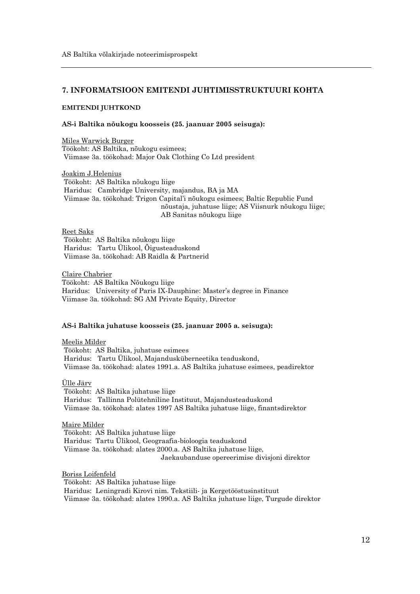## 7. INFORMATSIOON EMITENDI JUHTIMISSTRUKTUURI KOHTA

#### **EMITENDI JUHTKOND**

#### AS-i Baltika nõukogu koosseis (25. jaanuar 2005 seisuga):

Miles Warwick Burger Töökoht: AS Baltika, nõukogu esimees; Viimase 3a. töökohad: Major Oak Clothing Co Ltd president

Joakim J.Helenius Töökoht: AS Baltika nõukogu liige Haridus: Cambridge University, majandus, BA ja MA Viimase 3a. töökohad: Trigon Capital'i nõukogu esimees; Baltic Republic Fund nõustaja, juhatuse liige; AS Viisnurk nõukogu liige; AB Sanitas nõukogu liige

Reet Saks Töökoht: AS Baltika nõukogu liige Haridus: Tartu Ülikool, Õigusteaduskond Viimase 3a. töökohad: AB Raidla & Partnerid

Claire Chabrier Töökoht: AS Baltika Nõukogu liige Haridus: University of Paris IX-Dauphine: Master's degree in Finance Viimase 3a. töökohad: SG AM Private Equity, Director

#### AS-i Baltika juhatuse koosseis (25. jaanuar 2005 a. seisuga):

Meelis Milder Töökoht: AS Baltika, juhatuse esimees Haridus: Tartu Ülikool, Majandusküberneetika teaduskond, Viimase 3a. töökohad: alates 1991.a. AS Baltika juhatuse esimees, peadirektor

#### Ülle Järv

Töökoht: AS Baltika juhatuse liige Haridus: Tallinna Polütehniline Instituut, Majandusteaduskond Viimase 3a. töökohad: alates 1997 AS Baltika juhatuse liige, finantsdirektor

#### Maire Milder

Töökoht: AS Baltika juhatuse liige Haridus: Tartu Ülikool, Geograafia-bioloogia teaduskond Viimase 3a. töökohad: alates 2000.a. AS Baltika juhatuse liige, Jaekaubanduse opereerimise divisjoni direktor

Boriss Loifenfeld Töökoht: AS Baltika juhatuse liige Haridus: Leningradi Kirovi nim. Tekstiili- ja Kergetööstusinstituut Viimase 3a. töökohad: alates 1990.a. AS Baltika juhatuse liige, Turgude direktor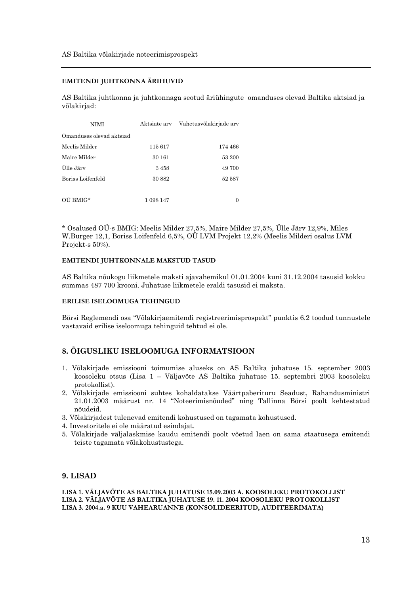#### EMITENDI JUHTKONNA ÄRIHUVID

AS Baltika juhtkonna ja juhtkonnaga seotud äriühingute omanduses olevad Baltika aktsiad ja võlakirjad:

| NIMI                     |           | Aktsiate arv Vahetusvõlakirjade arv |
|--------------------------|-----------|-------------------------------------|
| Omanduses olevad aktsiad |           |                                     |
| Meelis Milder            | 115617    | 174 466                             |
| Maire Milder             | 30 161    | 53 200                              |
| Ülle Järv                | 3458      | 49 700                              |
| Boriss Loifenfeld        | 30 882    | 52 587                              |
|                          |           |                                     |
| OU BMIG*                 | 1 098 147 | 0                                   |

\* Osalused OÜ-s BMIG: Meelis Milder 27,5%, Maire Milder 27,5%, Ülle Järv 12,9%, Miles W.Burger 12,1, Boriss Loifenfeld 6,5%, OÜ LVM Projekt 12,2% (Meelis Milderi osalus LVM Projekt-s 50%).

#### EMITENDI JUHTKONNALE MAKSTUD TASUD

AS Baltika nõukogu liikmetele maksti ajavahemikul 01.01.2004 kuni 31.12.2004 tasusid kokku summas 487 700 krooni. Juhatuse liikmetele eraldi tasusid ei maksta.

#### ERILISE ISELOOMUGA TEHINGUD

Börsi Reglemendi osa "Võlakirjaemitendi registreerimisprospekt" punktis 6.2 toodud tunnustele vastavaid erilise iseloomuga tehinguid tehtud ei ole.

# 8. ÕIGUSLIKU ISELOOMUGA INFORMATSIOON

- 1. Võlakirjade emissiooni toimumise aluseks on AS Baltika juhatuse 15. september 2003 koosoleku otsus (Lisa 1 - Väljavõte AS Baltika juhatuse 15. septembri 2003 koosoleku protokollist).
- 2. Võlakirjade emissiooni suhtes kohaldatakse Väärtpaberituru Seadust, Rahandusministri 21.01.2003 määrust nr. 14 "Noteerimisnõuded" ning Tallinna Börsi poolt kehtestatud nõudeid.
- 3. Võlakirjadest tulenevad emitendi kohustused on tagamata kohustused.
- 4. Investoritele ei ole määratud esindajat.
- 5. Võlakirjade väljalaskmise kaudu emitendi poolt võetud laen on sama staatusega emitendi teiste tagamata võlakohustustega.

#### 9. LISAD

LISA 1. VÄLJAVÕTE AS BALTIKA JUHATUSE 15.09.2003 A. KOOSOLEKU PROTOKOLLIST LISA 2. VÄLJAVÕTE AS BALTIKA JUHATUSE 19. 11. 2004 KOOSOLEKU PROTOKOLLIST LISA 3. 2004.a. 9 KUU VAHEARUANNE (KONSOLIDEERITUD, AUDITEERIMATA)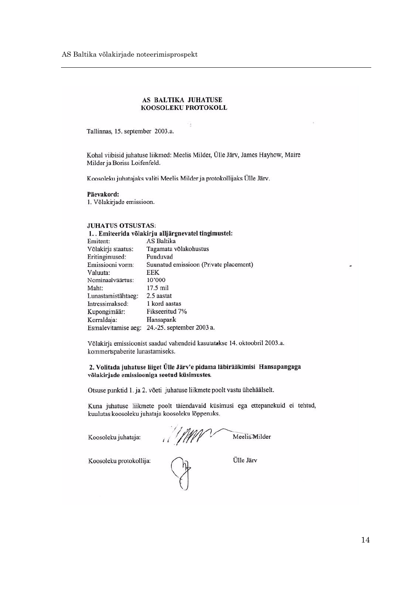#### AS BALTIKA JUHATUSE KOOSOLEKU PROTOKOLL

Tallinnas, 15. september 2003.a.

Kohal viibisid juhatuse liikmed: Meelis Milder, Ülle Järv, James Hayhow, Maire Milder ja Boriss Loifenfeld.

Koosoleku juhatajaks valiti Meelis Milder ja protokollijaks Ülle Järv.

#### Päevakord:

1. Võlakirjade emissioon.

#### **JUHATUS OTSUSTAS:**

#### 1. . Emiteerida võlakirju alljärgnevatel tingimustel:

| Emitent:            | AS Baltika                             |
|---------------------|----------------------------------------|
| Võlakirja staatus:  | Tagamata võlakohustus                  |
| Eritingimused:      | Puuduvad                               |
| Emissiooni vorm:    | Suunatud emissioon (Private placement) |
| Valuuta:            | EEK                                    |
| Nominaalväärtus:    | 10'000                                 |
| Maht:               | 17.5 mil                               |
| Lunastamistähtaeg:  | 2.5 aastat                             |
| Intressimaksed:     | 1 kord aastas                          |
| Kupongimäär:        | Fikseeritud 7%                         |
| Korraldaja:         | Hansapank                              |
| Esmalevitamise aeg: | 24.-25. september 2003 a.              |

Võlakirja emissioonist saadud vahendeid kasutatakse 14. oktoobril 2003.a. kommertspaberite lunastamiseks.

#### 2. Volitada juhatuse liiget Ülle Järv'e pidama läbirääkimisi Hansapangaga võlakirjade emissiooniga seotud küsimustes.

Otsuse punktid 1. ja 2. võeti juhatuse liikmete poolt vastu ühehäälselt.

Kuna juhatuse liikmete poolt täiendavaid küsimusi ega ettepanekuid ei tehtud, kuulutas koosoleku juhataja koosoleku lõppenuks.

Koosoleku juhataja:

 $\frac{1}{2}$ Meelis Milder

Koosoleku protokollija:

Ülle Järv